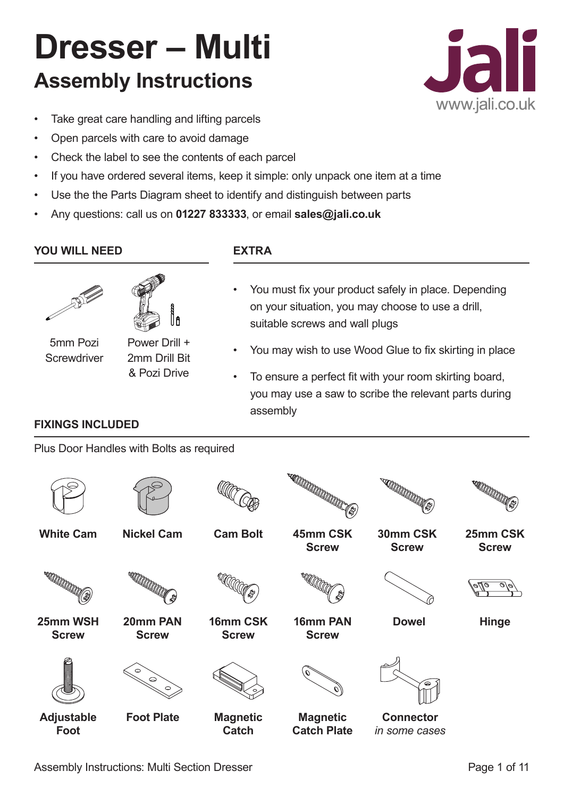# **Dresser – Multi Assembly Instructions**



- Take great care handling and lifting parcels
- Open parcels with care to avoid damage
- Check the label to see the contents of each parcel
- If you have ordered several items, keep it simple: only unpack one item at a time
- Use the the Parts Diagram sheet to identify and distinguish between parts
- Any questions: call us on **01227 833333**, or email **sales@jali.co.uk**

# **YOU WILL NEED EXTRA**





5mm Pozi **Screwdriver** 

Power Drill + 2mm Drill Bit & Pozi Drive

# You must fix your product safely in place. Depending on your situation, you may choose to use a drill, suitable screws and wall plugs

- You may wish to use Wood Glue to fix skirting in place
- To ensure a perfect fit with your room skirting board, you may use a saw to scribe the relevant parts during assembly

# **FIXINGS INCLUDED**

Plus Door Handles with Bolts as required

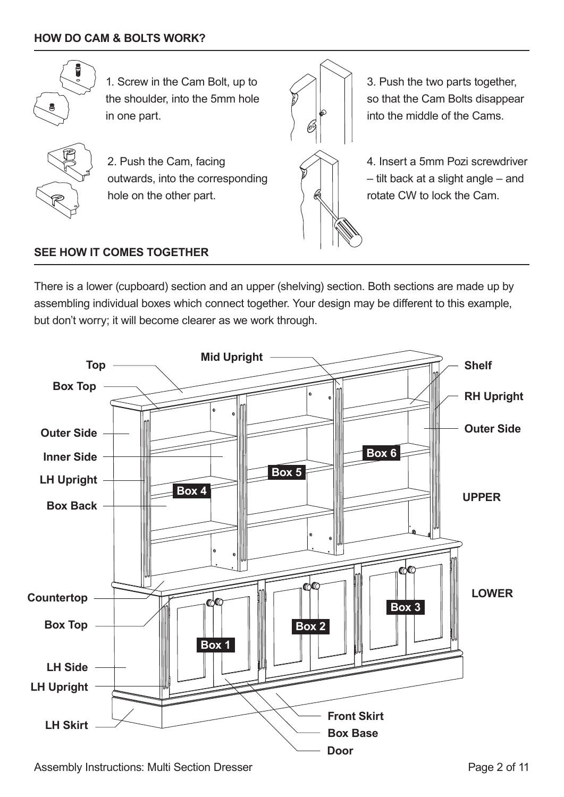

1. Screw in the Cam Bolt, up to the shoulder, into the 5mm hole in one part.



2. Push the Cam, facing outwards, into the corresponding hole on the other part.



3. Push the two parts together, so that the Cam Bolts disappear into the middle of the Cams.

4. Insert a 5mm Pozi screwdriver – tilt back at a slight angle – and rotate CW to lock the Cam.

#### **SEE HOW IT COMES TOGETHER**

There is a lower (cupboard) section and an upper (shelving) section. Both sections are made up by assembling individual boxes which connect together. Your design may be different to this example, but don't worry; it will become clearer as we work through.



Assembly Instructions: Multi Section Dresser **Page 2 of 11** Assembly Instructions: Multi Section Dresser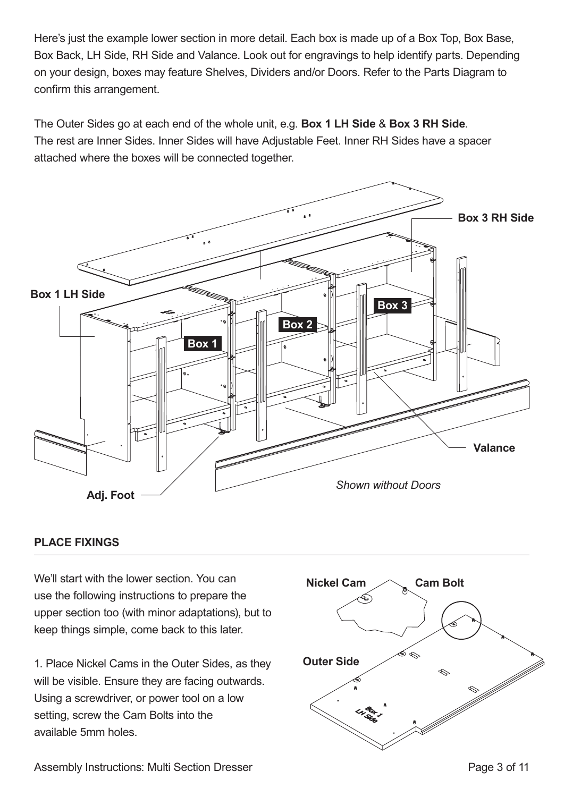Here's just the example lower section in more detail. Each box is made up of a Box Top, Box Base, Box Back, LH Side, RH Side and Valance. Look out for engravings to help identify parts. Depending on your design, boxes may feature Shelves, Dividers and/or Doors. Refer to the Parts Diagram to confirm this arrangement.

The Outer Sides go at each end of the whole unit, e.g. **Box 1 LH Side** & **Box 3 RH Side**. The rest are Inner Sides. Inner Sides will have Adjustable Feet. Inner RH Sides have a spacer attached where the boxes will be connected together.



#### **PLACE FIXINGS**

We'll start with the lower section. You can use the following instructions to prepare the upper section too (with minor adaptations), but to keep things simple, come back to this later.

1. Place Nickel Cams in the Outer Sides, as they will be visible. Ensure they are facing outwards. Using a screwdriver, or power tool on a low setting, screw the Cam Bolts into the available 5mm holes.

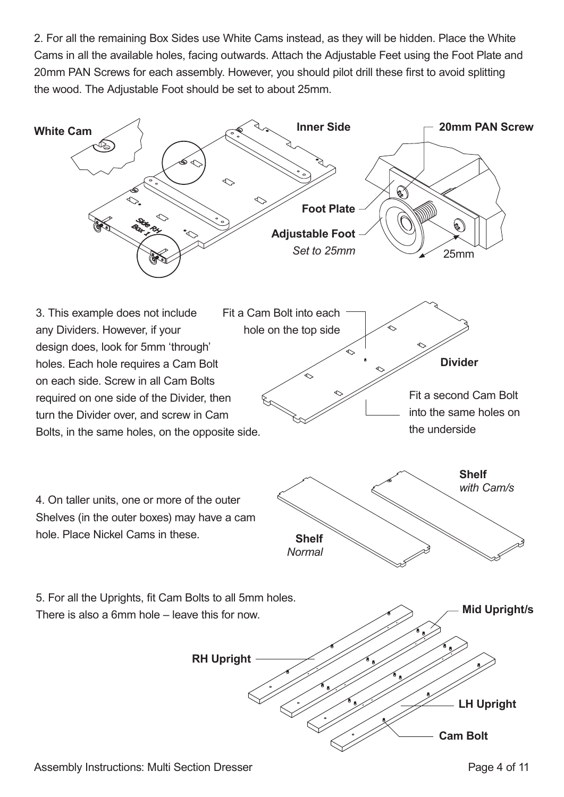2. For all the remaining Box Sides use White Cams instead, as they will be hidden. Place the White Cams in all the available holes, facing outwards. Attach the Adjustable Feet using the Foot Plate and 20mm PAN Screws for each assembly. However, you should pilot drill these first to avoid splitting the wood. The Adjustable Foot should be set to about 25mm.

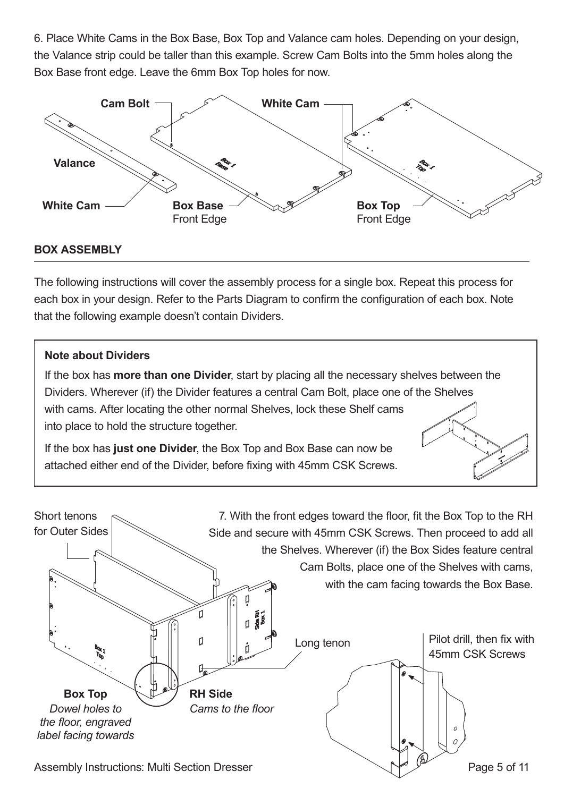6. Place White Cams in the Box Base, Box Top and Valance cam holes. Depending on your design, the Valance strip could be taller than this example. Screw Cam Bolts into the 5mm holes along the Box Base front edge. Leave the 6mm Box Top holes for now.



#### **BOX ASSEMBLY**

The following instructions will cover the assembly process for a single box. Repeat this process for each box in your design. Refer to the Parts Diagram to confirm the configuration of each box. Note that the following example doesn't contain Dividers.

#### **Note about Dividers**

If the box has **more than one Divider**, start by placing all the necessary shelves between the Dividers. Wherever (if) the Divider features a central Cam Bolt, place one of the Shelves with cams. After locating the other normal Shelves, lock these Shelf cams into place to hold the structure together.

If the box has **just one Divider**, the Box Top and Box Base can now be attached either end of the Divider, before fixing with 45mm CSK Screws.



Assembly Instructions: Multi Section Dresser Page 5 of 11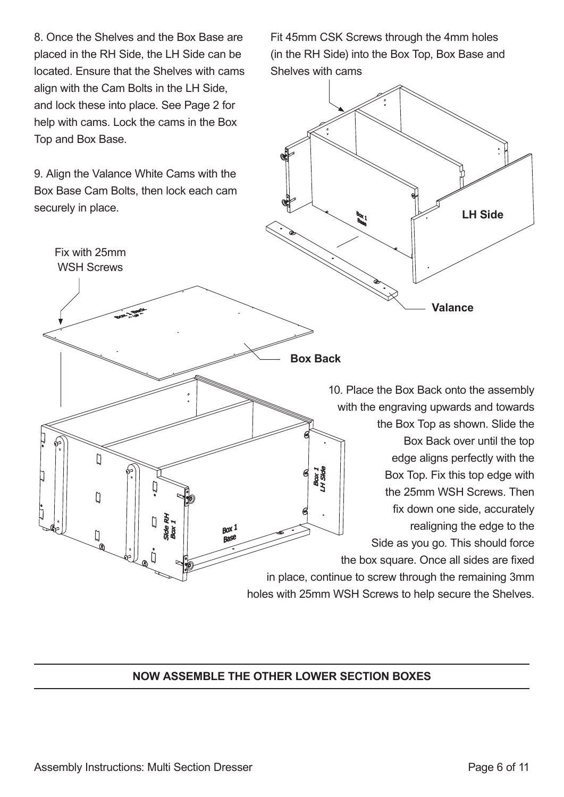8. Once the Shelves and the Box Base are placed in the RH Side, the LH Side can be located. Ensure that the Shelves with cams align with the Cam Bolts in the LH Side, and lock these into place. See Page 2 for help with cams. Lock the cams in the Box Top and Box Base.

9. Align the Valance White Cams with the Box Base Cam Bolts, then lock each cam securely in place.

Fit 45mm CSK Screws through the 4mm holes (in the RH Side) into the Box Top, Box Base and Shelves with cams



### **NOW ASSEMBLE THE OTHER LOWER SECTION BOXES**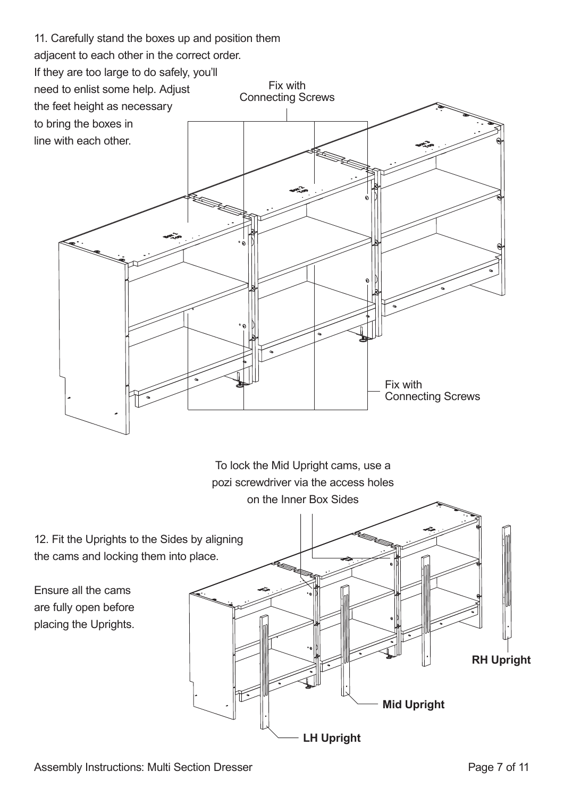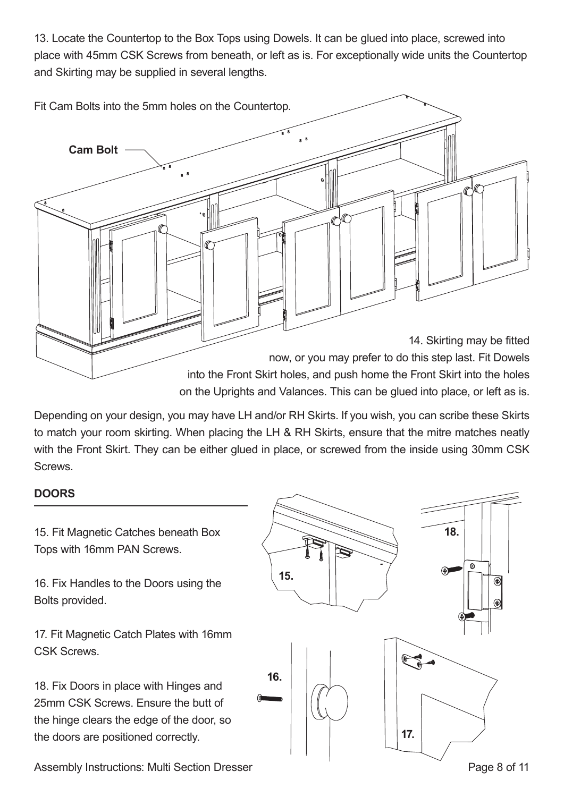13. Locate the Countertop to the Box Tops using Dowels. It can be glued into place, screwed into place with 45mm CSK Screws from beneath, or left as is. For exceptionally wide units the Countertop and Skirting may be supplied in several lengths.



Depending on your design, you may have LH and/or RH Skirts. If you wish, you can scribe these Skirts to match your room skirting. When placing the LH & RH Skirts, ensure that the mitre matches neatly with the Front Skirt. They can be either glued in place, or screwed from the inside using 30mm CSK Screws.

#### **DOORS**

15. Fit Magnetic Catches beneath Box Tops with 16mm PAN Screws.

16. Fix Handles to the Doors using the Bolts provided.

17. Fit Magnetic Catch Plates with 16mm CSK Screws.

18. Fix Doors in place with Hinges and 25mm CSK Screws. Ensure the butt of the hinge clears the edge of the door, so the doors are positioned correctly.



Assembly Instructions: Multi Section Dresser **Page 8 of 11** Assembly Instructions: Multi Section Dresser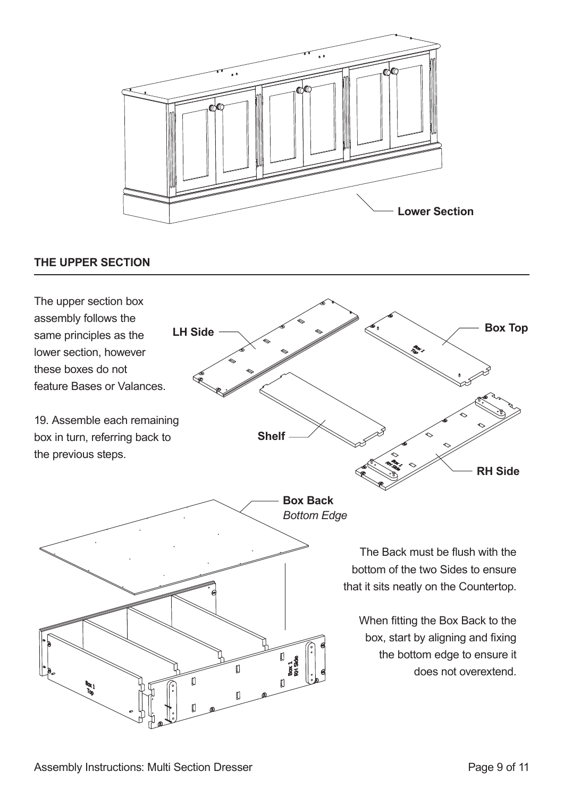

#### **THE UPPER SECTION**

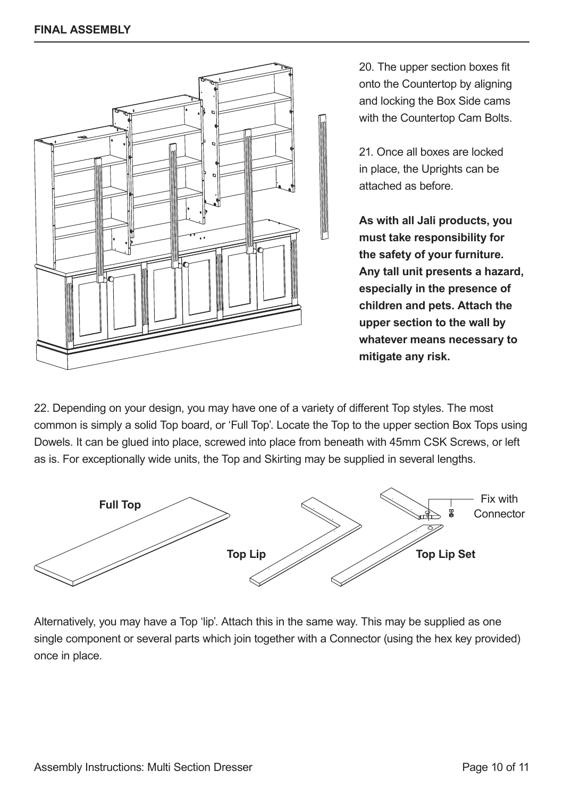

20. The upper section boxes fit onto the Countertop by aligning and locking the Box Side cams with the Countertop Cam Bolts.

21. Once all boxes are locked in place, the Uprights can be attached as before.

**As with all Jali products, you must take responsibility for the safety of your furniture. Any tall unit presents a hazard, especially in the presence of children and pets. Attach the upper section to the wall by whatever means necessary to mitigate any risk.**

22. Depending on your design, you may have one of a variety of different Top styles. The most common is simply a solid Top board, or 'Full Top'. Locate the Top to the upper section Box Tops using Dowels. It can be glued into place, screwed into place from beneath with 45mm CSK Screws, or left as is. For exceptionally wide units, the Top and Skirting may be supplied in several lengths.



Alternatively, you may have a Top 'lip'. Attach this in the same way. This may be supplied as one single component or several parts which join together with a Connector (using the hex key provided) once in place.